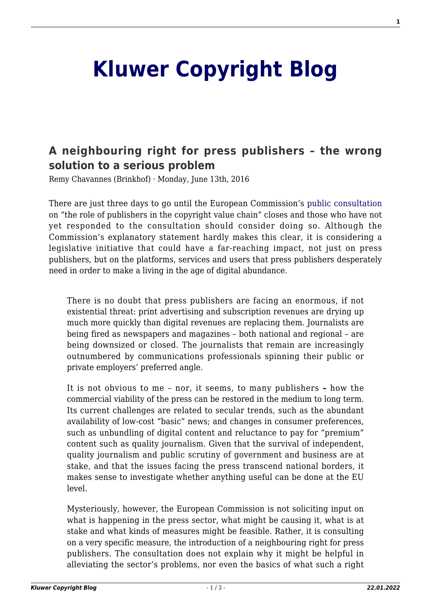## **[Kluwer Copyright Blog](http://copyrightblog.kluweriplaw.com/)**

## **[A neighbouring right for press publishers – the wrong](http://copyrightblog.kluweriplaw.com/2016/06/13/neighbouring-right-press-publishers-wrong-solution-serious-problem/) [solution to a serious problem](http://copyrightblog.kluweriplaw.com/2016/06/13/neighbouring-right-press-publishers-wrong-solution-serious-problem/)**

Remy Chavannes (Brinkhof) · Monday, June 13th, 2016

There are just three days to go until the European Commission's [public consultation](https://ec.europa.eu/digital-single-market/en/news/public-consultation-role-publishers-copyright-value-chain-and-panorama-exception) on "the role of publishers in the copyright value chain" closes and those who have not yet responded to the consultation should consider doing so. Although the Commission's explanatory statement hardly makes this clear, it is considering a legislative initiative that could have a far-reaching impact, not just on press publishers, but on the platforms, services and users that press publishers desperately need in order to make a living in the age of digital abundance.

There is no doubt that press publishers are facing an enormous, if not existential threat: print advertising and subscription revenues are drying up much more quickly than digital revenues are replacing them. Journalists are being fired as newspapers and magazines – both national and regional – are being downsized or closed. The journalists that remain are increasingly outnumbered by communications professionals spinning their public or private employers' preferred angle.

It is not obvious to me – nor, it seems, to many publishers **–** how the commercial viability of the press can be restored in the medium to long term. Its current challenges are related to secular trends, such as the abundant availability of low-cost "basic" news; and changes in consumer preferences, such as unbundling of digital content and reluctance to pay for "premium" content such as quality journalism. Given that the survival of independent, quality journalism and public scrutiny of government and business are at stake, and that the issues facing the press transcend national borders, it makes sense to investigate whether anything useful can be done at the EU level.

Mysteriously, however, the European Commission is not soliciting input on what is happening in the press sector, what might be causing it, what is at stake and what kinds of measures might be feasible. Rather, it is consulting on a very specific measure, the introduction of a neighbouring right for press publishers. The consultation does not explain why it might be helpful in alleviating the sector's problems, nor even the basics of what such a right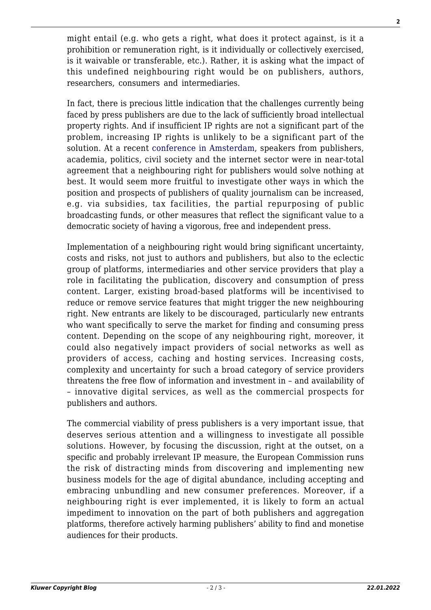might entail (e.g. who gets a right, what does it protect against, is it a prohibition or remuneration right, is it individually or collectively exercised, is it waivable or transferable, etc.). Rather, it is asking what the impact of this undefined neighbouring right would be on publishers, authors, researchers, consumers and intermediaries.

In fact, there is precious little indication that the challenges currently being faced by press publishers are due to the lack of sufficiently broad intellectual property rights. And if insufficient IP rights are not a significant part of the problem, increasing IP rights is unlikely to be a significant part of the solution. At a recent [conference in Amsterdam,](http://www.ivir.nl/newsconference2016) speakers from publishers, academia, politics, civil society and the internet sector were in near-total agreement that a neighbouring right for publishers would solve nothing at best. It would seem more fruitful to investigate other ways in which the position and prospects of publishers of quality journalism can be increased, e.g. via subsidies, tax facilities, the partial repurposing of public broadcasting funds, or other measures that reflect the significant value to a democratic society of having a vigorous, free and independent press.

Implementation of a neighbouring right would bring significant uncertainty, costs and risks, not just to authors and publishers, but also to the eclectic group of platforms, intermediaries and other service providers that play a role in facilitating the publication, discovery and consumption of press content. Larger, existing broad-based platforms will be incentivised to reduce or remove service features that might trigger the new neighbouring right. New entrants are likely to be discouraged, particularly new entrants who want specifically to serve the market for finding and consuming press content. Depending on the scope of any neighbouring right, moreover, it could also negatively impact providers of social networks as well as providers of access, caching and hosting services. Increasing costs, complexity and uncertainty for such a broad category of service providers threatens the free flow of information and investment in – and availability of – innovative digital services, as well as the commercial prospects for publishers and authors.

The commercial viability of press publishers is a very important issue, that deserves serious attention and a willingness to investigate all possible solutions. However, by focusing the discussion, right at the outset, on a specific and probably irrelevant IP measure, the European Commission runs the risk of distracting minds from discovering and implementing new business models for the age of digital abundance, including accepting and embracing unbundling and new consumer preferences. Moreover, if a neighbouring right is ever implemented, it is likely to form an actual impediment to innovation on the part of both publishers and aggregation platforms, therefore actively harming publishers' ability to find and monetise audiences for their products.